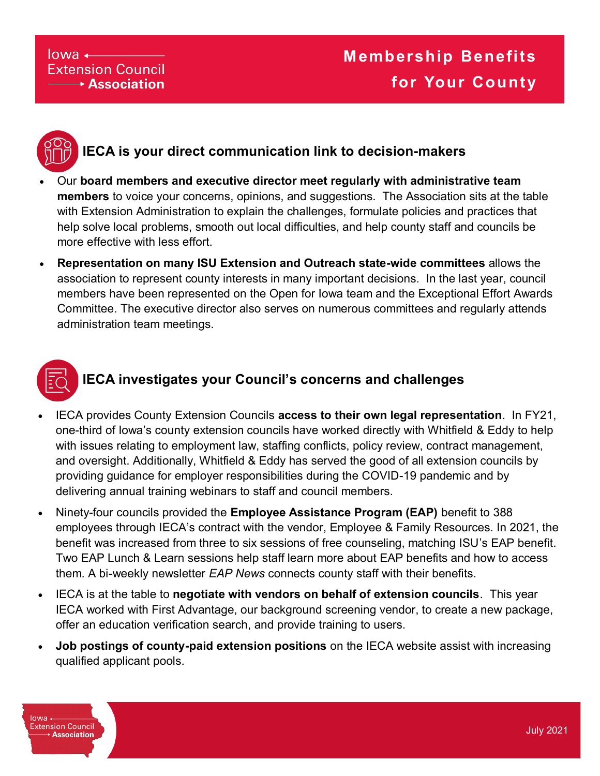#### $lowa \leftarrow$ **Extension Council**  $\rightarrow$  Association



### **IECA is your direct communication link to decision-makers**

- Our **board members and executive director meet regularly with administrative team members** to voice your concerns, opinions, and suggestions. The Association sits at the table with Extension Administration to explain the challenges, formulate policies and practices that help solve local problems, smooth out local difficulties, and help county staff and councils be more effective with less effort.
- **Representation on many ISU Extension and Outreach state-wide committees** allows the association to represent county interests in many important decisions. In the last year, council members have been represented on the Open for Iowa team and the Exceptional Effort Awards Committee. The executive director also serves on numerous committees and regularly attends administration team meetings.



#### **IECA investigates your Council's concerns and challenges**

- IECA provides County Extension Councils **access to their own legal representation**. In FY21, one-third of Iowa's county extension councils have worked directly with Whitfield & Eddy to help with issues relating to employment law, staffing conflicts, policy review, contract management, and oversight. Additionally, Whitfield & Eddy has served the good of all extension councils by providing guidance for employer responsibilities during the COVID-19 pandemic and by delivering annual training webinars to staff and council members.
- Ninety-four councils provided the **Employee Assistance Program (EAP)** benefit to 388 employees through IECA's contract with the vendor, Employee & Family Resources. In 2021, the benefit was increased from three to six sessions of free counseling, matching ISU's EAP benefit. Two EAP Lunch & Learn sessions help staff learn more about EAP benefits and how to access them. A bi-weekly newsletter *EAP News* connects county staff with their benefits.
- IECA is at the table to **negotiate with vendors on behalf of extension councils**. This year IECA worked with First Advantage, our background screening vendor, to create a new package, offer an education verification search, and provide training to users.
- **Job postings of county-paid extension positions** on the IECA website assist with increasing qualified applicant pools.